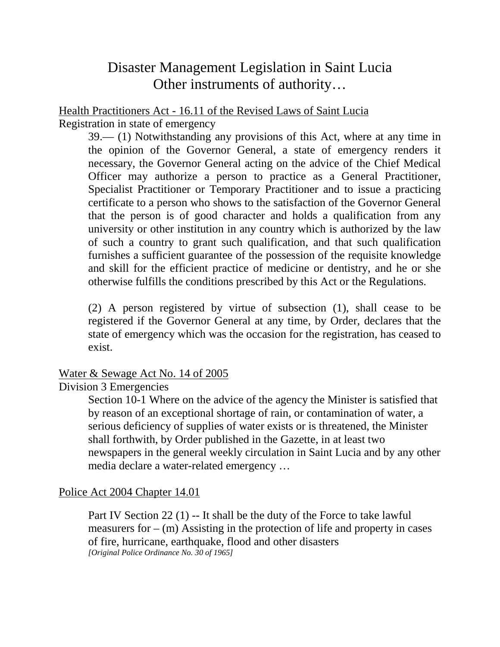# Disaster Management Legislation in Saint Lucia Other instruments of authority…

Health Practitioners Act - 16.11 of the Revised Laws of Saint Lucia Registration in state of emergency

39.— (1) Notwithstanding any provisions of this Act, where at any time in the opinion of the Governor General, a state of emergency renders it necessary, the Governor General acting on the advice of the Chief Medical Officer may authorize a person to practice as a General Practitioner, Specialist Practitioner or Temporary Practitioner and to issue a practicing certificate to a person who shows to the satisfaction of the Governor General that the person is of good character and holds a qualification from any university or other institution in any country which is authorized by the law of such a country to grant such qualification, and that such qualification furnishes a sufficient guarantee of the possession of the requisite knowledge and skill for the efficient practice of medicine or dentistry, and he or she otherwise fulfills the conditions prescribed by this Act or the Regulations.

(2) A person registered by virtue of subsection (1), shall cease to be registered if the Governor General at any time, by Order, declares that the state of emergency which was the occasion for the registration, has ceased to exist.

#### Water & Sewage Act No. 14 of 2005

Division 3 Emergencies

Section 10-1 Where on the advice of the agency the Minister is satisfied that by reason of an exceptional shortage of rain, or contamination of water, a serious deficiency of supplies of water exists or is threatened, the Minister shall forthwith, by Order published in the Gazette, in at least two newspapers in the general weekly circulation in Saint Lucia and by any other media declare a water-related emergency …

#### Police Act 2004 Chapter 14.01

Part IV Section 22 (1) -- It shall be the duty of the Force to take lawful measurers for  $-$  (m) Assisting in the protection of life and property in cases of fire, hurricane, earthquake, flood and other disasters *[Original Police Ordinance No. 30 of 1965]*